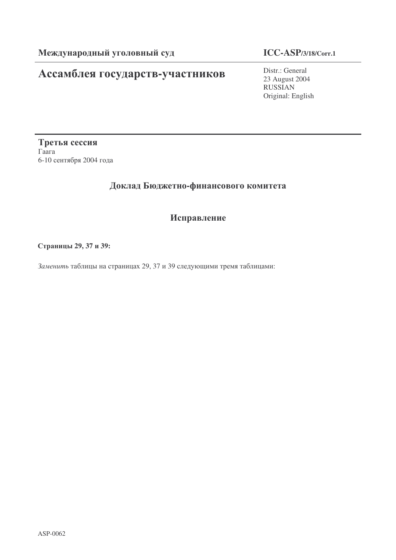# **Ассамблея государств-участников** Distr.: General

# **ICC-ASP/3/18/Corr.1**

23 August 2004 RUSSIAN Original: English

Третья сессия  $\Gamma$ aara 6-10 сентября 2004 года

### Доклад Бюджетно-финансового комитета

## Исправление

! **29, 37 39:**

Заменить таблицы на страницах 29, 37 и 39 следующими тремя таблицами: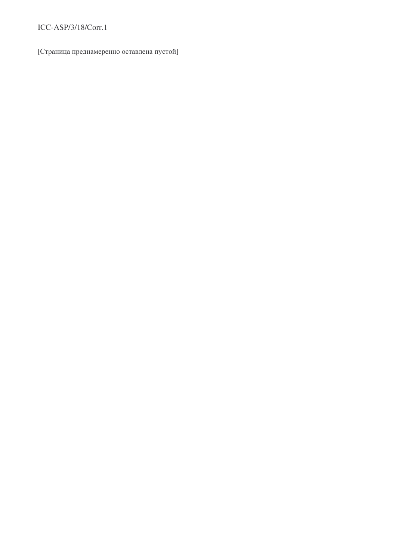#### ICC-ASP/3/18/Corr.1

[Страница преднамеренно оставлена пустой]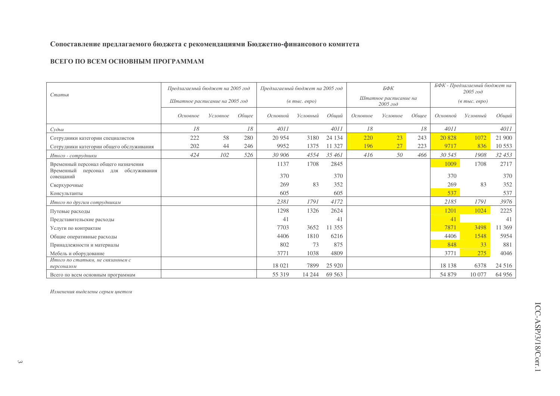#### Сопоставление предлагаемого бюджета с рекомендациями Бюджетно-финансового комитета

#### ВСЕГО ПО ВСЕМ ОСНОВНЫМ ПРОГРАММАМ

|                                                        | Предлагаемый бюджет на 2005 год |          |                                  | Предлагаемый бюджет на 2005 год |          |                                   | БФК      |          |                                  | БФК - Предлагаемый бюджет на<br>2005 zoo |          |         |
|--------------------------------------------------------|---------------------------------|----------|----------------------------------|---------------------------------|----------|-----------------------------------|----------|----------|----------------------------------|------------------------------------------|----------|---------|
| Статья                                                 | Штатное расписание на 2005 год  |          | $(a \text{ molc.} \text{ espo})$ |                                 |          | Штатное расписание на<br>2005 год |          |          | $(a \text{ molc.} \text{ espo})$ |                                          |          |         |
|                                                        | Основное                        | Условное | Обшее                            | Основной                        | Условный | Обший                             | Основное | Условное | Обшее                            | Основной                                 | Условный | Обший   |
| Cv                                                     | 18                              |          | 18                               | 4011                            |          | 4011                              | 18       |          | 18                               | 4011                                     |          | 4011    |
| Сотрудники категории специалистов                      | 222                             | 58       | 280                              | 20 9 54                         | 3180     | 24 134                            | 220      | 23       | 243                              | 20828                                    | 1072     | 21 900  |
| Сотрудники категории общего обслуживания               | 202                             | 44       | 246                              | 9952                            | 1375     | 11 327                            | 196      | 27       | 223                              | 9717                                     | 836      | 10 553  |
| Итого - сотрудники                                     | 424                             | 102      | 526                              | 30 906                          | 4554     | 35 461                            | 416      | 50       | 466                              | 30 545                                   | 1908     | 32 453  |
| Временный персонал общего назначения                   |                                 |          |                                  | 1137                            | 1708     | 2845                              |          |          |                                  | 1009                                     | 1708     | 2717    |
| Временный<br>обслуживания<br>персонал для<br>совещаний |                                 |          |                                  | 370                             |          | 370                               |          |          |                                  | 370                                      |          | 370     |
| Сверхурочные                                           |                                 |          |                                  | 269                             | 83       | 352                               |          |          |                                  | 269                                      | 83       | 352     |
| Консультанты                                           |                                 |          |                                  | 605                             |          | 605                               |          |          |                                  | 537                                      |          | 537     |
| Итого по другим сотрудникам                            |                                 |          |                                  | 2381                            | 1791     | 4172                              |          |          |                                  | 2185                                     | 1791     | 3976    |
| Путевые расходы                                        |                                 |          |                                  | 1298                            | 1326     | 2624                              |          |          |                                  | 1201                                     | 1024     | 2225    |
| Представительские расходы                              |                                 |          |                                  | 41                              |          | 41                                |          |          |                                  | 41                                       |          | 41      |
| Услуги по контрактам                                   |                                 |          |                                  | 7703                            | 3652     | 11 355                            |          |          |                                  | 7871                                     | 3498     | 11 369  |
| Общие оперативные расходы                              |                                 |          |                                  | 4406                            | 1810     | 6216                              |          |          |                                  | 4406                                     | 1548     | 5954    |
| Принадлежности и материалы                             |                                 |          |                                  | 802                             | 73       | 875                               |          |          |                                  | 848                                      | 33       | 881     |
| Мебель и оборудование                                  |                                 |          |                                  | 3771                            | 1038     | 4809                              |          |          |                                  | 3771                                     | 275      | 4046    |
| Итого по статьям, не связанным с                       |                                 |          |                                  | 18 021                          | 7899     |                                   |          |          |                                  | 18 138                                   | 6378     | 24 5 16 |
| персоналом                                             |                                 |          |                                  |                                 |          | 25 9 20                           |          |          |                                  |                                          |          |         |
| Всего по всем основным программам                      |                                 |          |                                  | 55 319                          | 14 244   | 69 5 63                           |          |          |                                  | 54 879                                   | 10 077   | 64 956  |

Изменения выделены серым цветом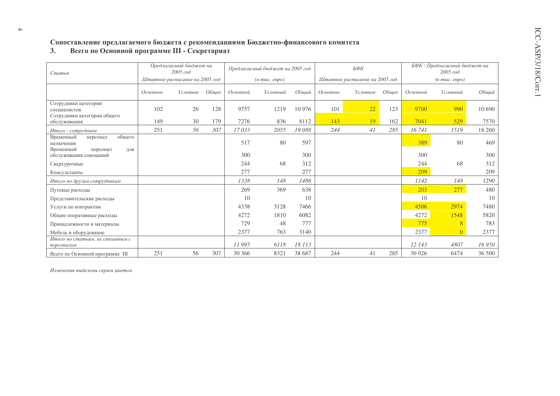# Сопоставление предлагаемого бюджета с рекомендациями Бюджетно-финансового комитета<br>3. Всего по Основной программе III - Секретариат

| Статья                                                                        | Предлагаемый бюджет на<br>2005 zoo |          |       | Предлагаемый бюджет на 2005 год  |          |        |          | БФК                            |       | БФК - Предлагаемый бюджет на<br>2005 zoo        |                |        |
|-------------------------------------------------------------------------------|------------------------------------|----------|-------|----------------------------------|----------|--------|----------|--------------------------------|-------|-------------------------------------------------|----------------|--------|
|                                                                               | Штатное расписание на 2005 год     |          |       | $(a \text{ molc.} \text{ espo})$ |          |        |          | Штатное расписание на 2005 год |       | $(\epsilon$ m <sub>bl</sub> c. $\epsilon$ egpo) |                |        |
|                                                                               | Основное                           | Условное | Обшее | Основной                         | Условный | Общий  | Основное | Условное                       | Обшее | Основной                                        | Условный       | Общий  |
| Сотрудники категории<br>специалистов<br>Сотрудники категории общего           | 102                                | 26       | 128   | 9757                             | 1219     | 10 976 | 101      | 22                             | 123   | 9700                                            | 990            | 10 690 |
| обслуживания                                                                  | 149                                | 30       | 179   | 7276                             | 836      | 8112   | 143      | 19                             | 162   | 7041                                            | 529            | 7570   |
| Итого - сотрудники                                                            | 251                                | 56       | 307   | 17033                            | 2055     | 19088  | 244      | 41                             | 285   | 16741                                           | 1519           | 18 260 |
| Временный<br>общего<br>персонал<br>назначения<br>Временный<br>персонал<br>ДЛЯ |                                    |          |       | 517                              | 80       | 597    |          |                                |       | 389                                             | 80             | 469    |
| обслуживания совещаний                                                        |                                    |          |       | 300                              |          | 300    |          |                                |       | 300                                             |                | 300    |
| Сверхурочные                                                                  |                                    |          |       | 244                              | 68       | 312    |          |                                |       | 244                                             | 68             | 312    |
| Консультанты                                                                  |                                    |          |       | 277                              |          | 277    |          |                                |       | 209                                             |                | 209    |
| Итого по другим сотрудникам                                                   |                                    |          |       | 1338                             | 148      | 1486   |          |                                |       | 1142                                            | 148            | 1290   |
| Путевые расходы                                                               |                                    |          |       | 269                              | 369      | 638    |          |                                |       | 203                                             | 277            | 480    |
| Представительские расходы                                                     |                                    |          |       | 10                               |          | 10     |          |                                |       | 10                                              |                | 10     |
| Услуги по контрактам                                                          |                                    |          |       | 4338                             | 3128     | 7466   |          |                                |       | 4506                                            | 2974           | 7480   |
| Общие оперативные расходы                                                     |                                    |          |       | 4272                             | 1810     | 6082   |          |                                |       | 4272                                            | 1548           | 5820   |
| Принадлежности и материалы                                                    |                                    |          |       | 729                              | 48       | 777    |          |                                |       | 775                                             | $\overline{8}$ | 783    |
| Мебель и оборудование                                                         |                                    |          |       | 2377                             | 763      | 3140   |          |                                |       | 2377                                            |                | 2377   |
| Итого по статьям, не связанным с<br>персоналом                                |                                    |          |       | 11995                            | 6118     | 18 113 |          |                                |       | 12 143                                          | 4807           | 16 950 |
| Всего по Основной программе III                                               | 251                                | 56       | 307   | 30 36 6                          | 8321     | 38 687 | 244      | 41                             | 285   | 30 0 26                                         | 6474           | 36 500 |

Изменения выделены серым цветом